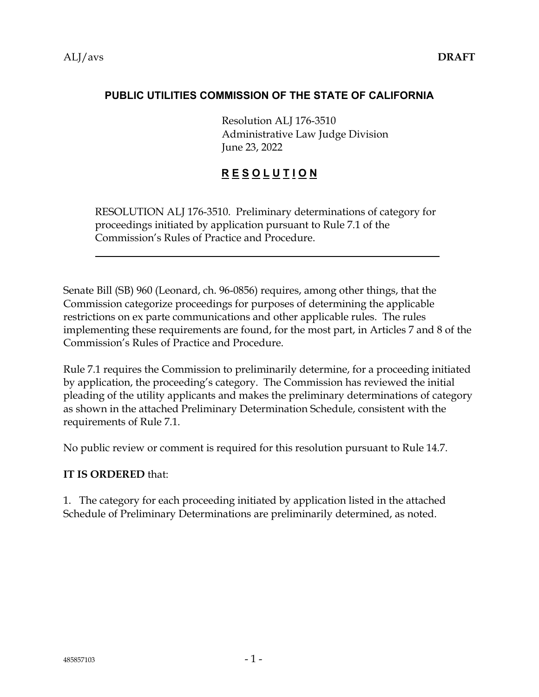#### **PUBLIC UTILITIES COMMISSION OF THE STATE OF CALIFORNIA**

Resolution ALJ 176-3510 Administrative Law Judge Division June 23, 2022

### **R E S O L U T I O N**

RESOLUTION ALJ 176-3510. Preliminary determinations of category for proceedings initiated by application pursuant to Rule 7.1 of the Commission's Rules of Practice and Procedure.

Senate Bill (SB) 960 (Leonard, ch. 96-0856) requires, among other things, that the Commission categorize proceedings for purposes of determining the applicable restrictions on ex parte communications and other applicable rules. The rules implementing these requirements are found, for the most part, in Articles 7 and 8 of the Commission's Rules of Practice and Procedure.

Rule 7.1 requires the Commission to preliminarily determine, for a proceeding initiated by application, the proceeding's category. The Commission has reviewed the initial pleading of the utility applicants and makes the preliminary determinations of category as shown in the attached Preliminary Determination Schedule, consistent with the requirements of Rule 7.1.

No public review or comment is required for this resolution pursuant to Rule 14.7.

#### **IT IS ORDERED** that:

1. The category for each proceeding initiated by application listed in the attached Schedule of Preliminary Determinations are preliminarily determined, as noted.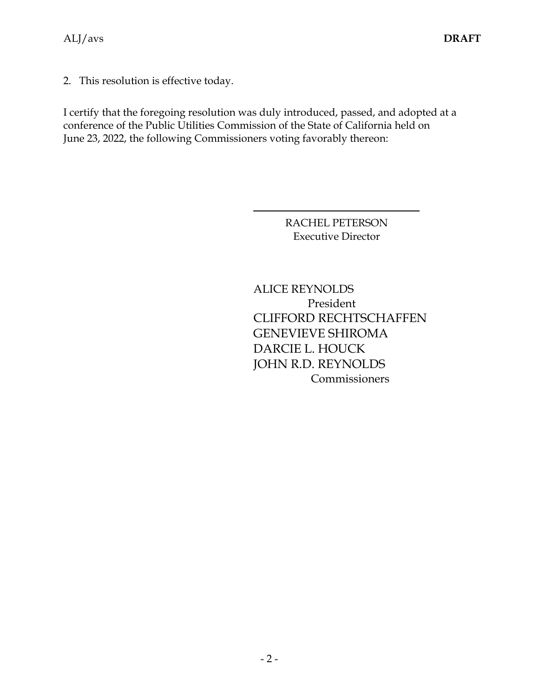2. This resolution is effective today.

I certify that the foregoing resolution was duly introduced, passed, and adopted at a conference of the Public Utilities Commission of the State of California held on June 23, 2022, the following Commissioners voting favorably thereon:

> RACHEL PETERSON Executive Director

ALICE REYNOLDS President CLIFFORD RECHTSCHAFFEN GENEVIEVE SHIROMA DARCIE L. HOUCK JOHN R.D. REYNOLDS **Commissioners**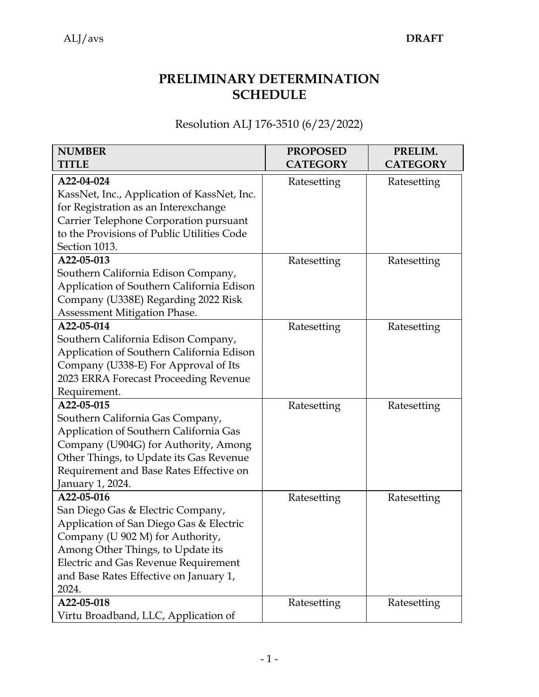| <b>NUMBER</b><br><b>TITLE</b>               | <b>PROPOSED</b><br><b>CATEGORY</b> | PRELIM.<br><b>CATEGORY</b> |
|---------------------------------------------|------------------------------------|----------------------------|
|                                             |                                    |                            |
| A22-04-024                                  | Ratesetting                        | Ratesetting                |
| KassNet, Inc., Application of KassNet, Inc. |                                    |                            |
| for Registration as an Interexchange        |                                    |                            |
| Carrier Telephone Corporation pursuant      |                                    |                            |
| to the Provisions of Public Utilities Code  |                                    |                            |
| Section 1013.                               |                                    |                            |
| A22-05-013                                  | Ratesetting                        | Ratesetting                |
| Southern California Edison Company,         |                                    |                            |
| Application of Southern California Edison   |                                    |                            |
| Company (U338E) Regarding 2022 Risk         |                                    |                            |
| Assessment Mitigation Phase.                |                                    |                            |
| A22-05-014                                  | Ratesetting                        | Ratesetting                |
| Southern California Edison Company,         |                                    |                            |
| Application of Southern California Edison   |                                    |                            |
| Company (U338-E) For Approval of Its        |                                    |                            |
| 2023 ERRA Forecast Proceeding Revenue       |                                    |                            |
| Requirement.                                |                                    |                            |
| A22-05-015                                  | Ratesetting                        | Ratesetting                |
| Southern California Gas Company,            |                                    |                            |
| Application of Southern California Gas      |                                    |                            |
| Company (U904G) for Authority, Among        |                                    |                            |
| Other Things, to Update its Gas Revenue     |                                    |                            |
| Requirement and Base Rates Effective on     |                                    |                            |
| January 1, 2024.                            |                                    |                            |
| A22-05-016                                  | Ratesetting                        | Ratesetting                |
| San Diego Gas & Electric Company,           |                                    |                            |
| Application of San Diego Gas & Electric     |                                    |                            |
| Company (U 902 M) for Authority,            |                                    |                            |
| Among Other Things, to Update its           |                                    |                            |
| <b>Electric and Gas Revenue Requirement</b> |                                    |                            |
| and Base Rates Effective on January 1,      |                                    |                            |
| 2024.                                       |                                    |                            |
| A22-05-018                                  | Ratesetting                        | Ratesetting                |
| Virtu Broadband, LLC, Application of        |                                    |                            |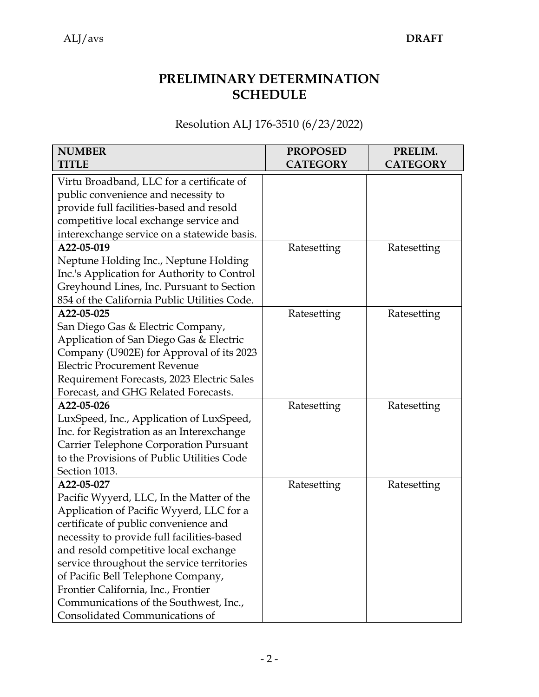| <b>NUMBER</b><br><b>TITLE</b>                | <b>PROPOSED</b><br><b>CATEGORY</b> | PRELIM.<br><b>CATEGORY</b> |
|----------------------------------------------|------------------------------------|----------------------------|
|                                              |                                    |                            |
| Virtu Broadband, LLC for a certificate of    |                                    |                            |
| public convenience and necessity to          |                                    |                            |
| provide full facilities-based and resold     |                                    |                            |
| competitive local exchange service and       |                                    |                            |
| interexchange service on a statewide basis.  |                                    |                            |
| A22-05-019                                   | Ratesetting                        | Ratesetting                |
| Neptune Holding Inc., Neptune Holding        |                                    |                            |
| Inc.'s Application for Authority to Control  |                                    |                            |
| Greyhound Lines, Inc. Pursuant to Section    |                                    |                            |
| 854 of the California Public Utilities Code. |                                    |                            |
| A22-05-025                                   | Ratesetting                        | Ratesetting                |
| San Diego Gas & Electric Company,            |                                    |                            |
| Application of San Diego Gas & Electric      |                                    |                            |
| Company (U902E) for Approval of its 2023     |                                    |                            |
| <b>Electric Procurement Revenue</b>          |                                    |                            |
| Requirement Forecasts, 2023 Electric Sales   |                                    |                            |
| Forecast, and GHG Related Forecasts.         |                                    |                            |
| A22-05-026                                   | Ratesetting                        | Ratesetting                |
| LuxSpeed, Inc., Application of LuxSpeed,     |                                    |                            |
| Inc. for Registration as an Interexchange    |                                    |                            |
| Carrier Telephone Corporation Pursuant       |                                    |                            |
| to the Provisions of Public Utilities Code   |                                    |                            |
| Section 1013.                                |                                    |                            |
| A22-05-027                                   | Ratesetting                        | Ratesetting                |
| Pacific Wyyerd, LLC, In the Matter of the    |                                    |                            |
| Application of Pacific Wyyerd, LLC for a     |                                    |                            |
| certificate of public convenience and        |                                    |                            |
| necessity to provide full facilities-based   |                                    |                            |
| and resold competitive local exchange        |                                    |                            |
| service throughout the service territories   |                                    |                            |
| of Pacific Bell Telephone Company,           |                                    |                            |
| Frontier California, Inc., Frontier          |                                    |                            |
| Communications of the Southwest, Inc.,       |                                    |                            |
| Consolidated Communications of               |                                    |                            |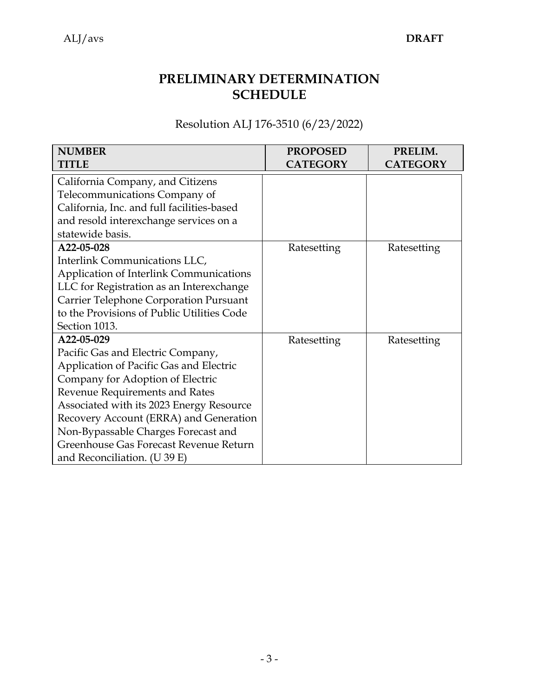| <b>NUMBER</b>                              | <b>PROPOSED</b> | PRELIM.         |
|--------------------------------------------|-----------------|-----------------|
| TITLE                                      | <b>CATEGORY</b> | <b>CATEGORY</b> |
| California Company, and Citizens           |                 |                 |
| Telecommunications Company of              |                 |                 |
| California, Inc. and full facilities-based |                 |                 |
| and resold interexchange services on a     |                 |                 |
| statewide basis.                           |                 |                 |
| A22-05-028                                 | Ratesetting     | Ratesetting     |
| Interlink Communications LLC,              |                 |                 |
| Application of Interlink Communications    |                 |                 |
| LLC for Registration as an Interexchange   |                 |                 |
| Carrier Telephone Corporation Pursuant     |                 |                 |
| to the Provisions of Public Utilities Code |                 |                 |
| Section 1013.                              |                 |                 |
| A22-05-029                                 | Ratesetting     | Ratesetting     |
| Pacific Gas and Electric Company,          |                 |                 |
| Application of Pacific Gas and Electric    |                 |                 |
| Company for Adoption of Electric           |                 |                 |
| Revenue Requirements and Rates             |                 |                 |
| Associated with its 2023 Energy Resource   |                 |                 |
| Recovery Account (ERRA) and Generation     |                 |                 |
| Non-Bypassable Charges Forecast and        |                 |                 |
| Greenhouse Gas Forecast Revenue Return     |                 |                 |
| and Reconciliation. (U 39 E)               |                 |                 |